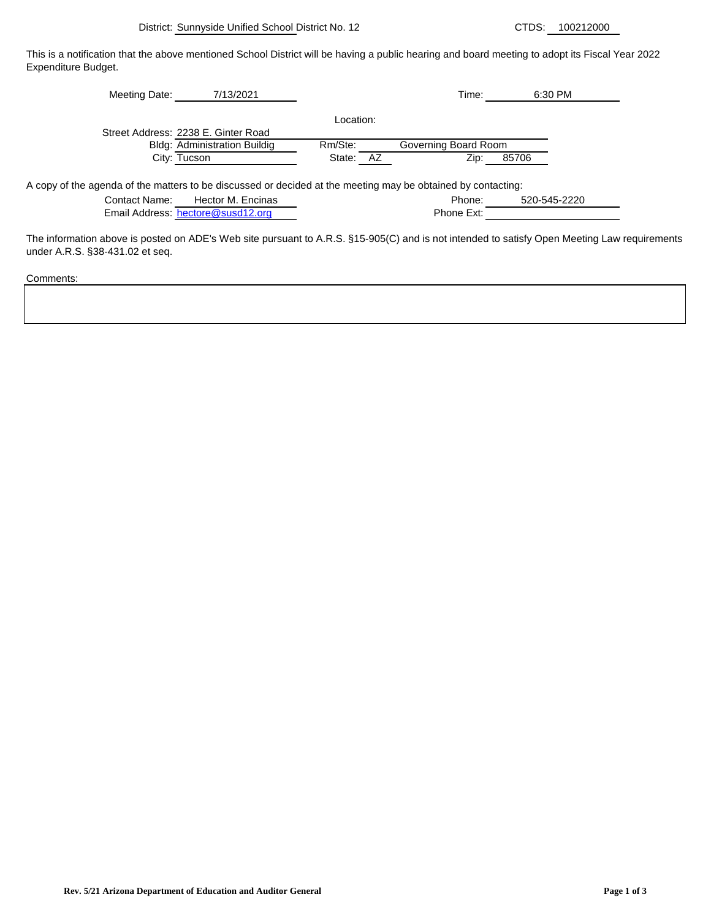This is a notification that the above mentioned School District will be having a public hearing and board meeting to adopt its Fiscal Year 2022 Expenditure Budget.

| Meeting Date: | 7/13/2021                           |              | 6:30 PM<br>Time:                                                                                             |  |
|---------------|-------------------------------------|--------------|--------------------------------------------------------------------------------------------------------------|--|
|               |                                     | Location:    |                                                                                                              |  |
|               | Street Address: 2238 E. Ginter Road |              |                                                                                                              |  |
|               | <b>Bldg: Administration Buildig</b> | Rm/Ste:      | Governing Board Room                                                                                         |  |
|               | City: Tucson                        | State:<br>AZ | 85706<br>Zip:                                                                                                |  |
|               |                                     |              |                                                                                                              |  |
|               |                                     |              | A copy of the agenda of the matters to be discussed or decided at the meeting may be obtained by contacting: |  |

Contact Name: Phone: Hector M. Encinas 520-545-2220 Email Address: [hectore@susd12.org](mailto:hectore@susd12.org#) Phone Ext:

The information above is posted on ADE's Web site pursuant to A.R.S. §15-905(C) and is not intended to satisfy Open Meeting Law requirements under A.R.S. §38-431.02 et seq.

Comments: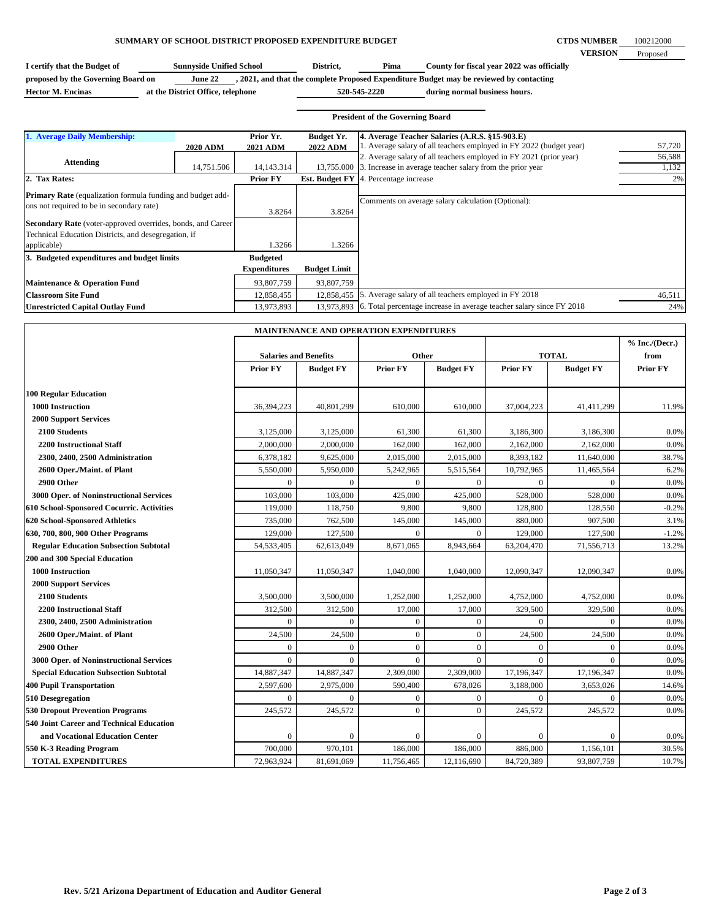## **SUMMARY OF SCHOOL DISTRICT PROPOSED EXPENDITURE BUDGET**

**CTDS NUMBER VERSION** 100212000 Proposed

| I certify that the Budget of       | <b>Sunnyside Unified School</b>   | District,    | Pima | County for fiscal year 2022 was officially                                              |
|------------------------------------|-----------------------------------|--------------|------|-----------------------------------------------------------------------------------------|
| proposed by the Governing Board on | June 22                           |              |      | , 2021, and that the complete Proposed Expenditure Budget may be reviewed by contacting |
| <b>Hector M. Encinas</b>           | at the District Office, telephone | 520-545-2220 |      | during normal business hours.                                                           |

 **at the District Office, telephone**

**520-545-2220 during normal business hours.**

| <b>President of the Governing Board</b>                                                                             |                 |                              |                                      |                                                                                                                       |        |  |
|---------------------------------------------------------------------------------------------------------------------|-----------------|------------------------------|--------------------------------------|-----------------------------------------------------------------------------------------------------------------------|--------|--|
| 1. Average Daily Membership:                                                                                        | <b>2020 ADM</b> | Prior Yr.<br><b>2021 ADM</b> | <b>Budget Yr.</b><br><b>2022 ADM</b> | 4. Average Teacher Salaries (A.R.S. §15-903.E)<br>1. Average salary of all teachers employed in FY 2022 (budget year) | 57,720 |  |
| <b>Attending</b>                                                                                                    |                 |                              |                                      | 2. Average salary of all teachers employed in FY 2021 (prior year)                                                    | 56,588 |  |
|                                                                                                                     | 14,751,506      | 14.143.314                   | 13.755.000                           | 3. Increase in average teacher salary from the prior year                                                             | 1,132  |  |
| 2. Tax Rates:                                                                                                       |                 | <b>Prior FY</b>              | <b>Est. Budget FY</b>                | 4. Percentage increase                                                                                                | 2%     |  |
| <b>Primary Rate</b> (equalization formula funding and budget add-<br>ons not required to be in secondary rate)      |                 | 3.8264                       | 3.8264                               | Comments on average salary calculation (Optional):                                                                    |        |  |
| Secondary Rate (voter-approved overrides, bonds, and Career<br>Technical Education Districts, and desegregation, if |                 |                              |                                      |                                                                                                                       |        |  |
| applicable)                                                                                                         |                 | 1.3266                       | 1.3266                               |                                                                                                                       |        |  |
| 3. Budgeted expenditures and budget limits                                                                          |                 | <b>Budgeted</b>              |                                      |                                                                                                                       |        |  |
|                                                                                                                     |                 | <b>Expenditures</b>          | <b>Budget Limit</b>                  |                                                                                                                       |        |  |
| Maintenance & Operation Fund                                                                                        |                 | 93,807,759                   | 93,807,759                           |                                                                                                                       |        |  |
| <b>Classroom Site Fund</b>                                                                                          |                 | 12,858,455                   | 12,858,455                           | 5. Average salary of all teachers employed in FY 2018                                                                 | 46,511 |  |
| <b>Unrestricted Capital Outlay Fund</b>                                                                             |                 | 13,973,893                   |                                      | 13,973,893 6. Total percentage increase in average teacher salary since FY 2018                                       | 24%    |  |

| <b>MAINTENANCE AND OPERATION EXPENDITURES</b> |                              |                  |                 |                  |                 |                  |                          |
|-----------------------------------------------|------------------------------|------------------|-----------------|------------------|-----------------|------------------|--------------------------|
|                                               | <b>Salaries and Benefits</b> |                  | Other           |                  | <b>TOTAL</b>    |                  | % Inc. / (Decr.)<br>from |
|                                               | Prior FY                     | <b>Budget FY</b> | <b>Prior FY</b> | <b>Budget FY</b> | <b>Prior FY</b> | <b>Budget FY</b> | <b>Prior FY</b>          |
| <b>100 Regular Education</b>                  |                              |                  |                 |                  |                 |                  |                          |
| <b>1000 Instruction</b>                       | 36,394,223                   | 40,801,299       | 610,000         | 610,000          | 37,004,223      | 41,411,299       | 11.9%                    |
| <b>2000 Support Services</b>                  |                              |                  |                 |                  |                 |                  |                          |
| 2100 Students                                 | 3,125,000                    | 3,125,000        | 61,300          | 61,300           | 3,186,300       | 3,186,300        | 0.0%                     |
| <b>2200 Instructional Staff</b>               | 2,000,000                    | 2,000,000        | 162,000         | 162,000          | 2,162,000       | 2,162,000        | 0.0%                     |
| 2300, 2400, 2500 Administration               | 6,378,182                    | 9,625,000        | 2,015,000       | 2,015,000        | 8,393,182       | 11,640,000       | 38.7%                    |
| 2600 Oper./Maint. of Plant                    | 5,550,000                    | 5,950,000        | 5,242,965       | 5,515,564        | 10,792,965      | 11,465,564       | 6.2%                     |
| 2900 Other                                    | $\overline{0}$               | $\mathbf{0}$     | $\mathbf{0}$    | $\Omega$         | $\Omega$        | $\Omega$         | 0.0%                     |
| 3000 Oper. of Noninstructional Services       | 103,000                      | 103,000          | 425,000         | 425,000          | 528,000         | 528,000          | 0.0%                     |
| 610 School-Sponsored Cocurric. Activities     | 119,000                      | 118,750          | 9,800           | 9,800            | 128,800         | 128,550          | $-0.2%$                  |
| 620 School-Sponsored Athletics                | 735,000                      | 762,500          | 145,000         | 145,000          | 880,000         | 907,500          | 3.1%                     |
| 630, 700, 800, 900 Other Programs             | 129,000                      | 127,500          | $\Omega$        | $\Omega$         | 129,000         | 127,500          | $-1.2%$                  |
| <b>Regular Education Subsection Subtotal</b>  | 54,533,405                   | 62,613,049       | 8,671,065       | 8,943,664        | 63,204,470      | 71,556,713       | 13.2%                    |
| 200 and 300 Special Education                 |                              |                  |                 |                  |                 |                  |                          |
| <b>1000 Instruction</b>                       | 11,050,347                   | 11,050,347       | 1,040,000       | 1,040,000        | 12,090,347      | 12,090,347       | 0.0%                     |
| <b>2000 Support Services</b>                  |                              |                  |                 |                  |                 |                  |                          |
| 2100 Students                                 | 3,500,000                    | 3,500,000        | 1,252,000       | 1,252,000        | 4,752,000       | 4,752,000        | 0.0%                     |
| <b>2200 Instructional Staff</b>               | 312,500                      | 312,500          | 17,000          | 17,000           | 329,500         | 329,500          | 0.0%                     |
| 2300, 2400, 2500 Administration               | $\theta$                     | $\Omega$         | $\mathbf{0}$    | $\Omega$         | $\Omega$        | $\Omega$         | 0.0%                     |
| 2600 Oper./Maint. of Plant                    | 24,500                       | 24,500           | $\mathbf{0}$    | $\Omega$         | 24,500          | 24,500           | 0.0%                     |
| 2900 Other                                    | $\mathbf{0}$                 | $\overline{0}$   | $\mathbf{0}$    | $\Omega$         | $\mathbf{0}$    | $\Omega$         | 0.0%                     |
| 3000 Oper. of Noninstructional Services       | $\Omega$                     | $\theta$         | $\Omega$        | $\Omega$         | $\Omega$        | $\Omega$         | 0.0%                     |
| <b>Special Education Subsection Subtotal</b>  | 14,887,347                   | 14,887,347       | 2,309,000       | 2,309,000        | 17,196,347      | 17,196,347       | 0.0%                     |
| <b>400 Pupil Transportation</b>               | 2,597,600                    | 2,975,000        | 590,400         | 678,026          | 3,188,000       | 3,653,026        | 14.6%                    |
| 510 Desegregation                             | $\Omega$                     | $\Omega$         | $\mathbf{0}$    | $\mathbf{0}$     | $\Omega$        | $\Omega$         | 0.0%                     |
| <b>530 Dropout Prevention Programs</b>        | 245,572                      | 245,572          | $\Omega$        | $\Omega$         | 245,572         | 245,572          | 0.0%                     |
| 540 Joint Career and Technical Education      |                              |                  |                 |                  |                 |                  |                          |
| and Vocational Education Center               | $\mathbf{0}$                 | $\boldsymbol{0}$ | $\mathbf{0}$    | $\mathbf{0}$     | $\mathbf{0}$    | $\mathbf{0}$     | 0.0%                     |
| 550 K-3 Reading Program                       | 700,000                      | 970,101          | 186,000         | 186,000          | 886,000         | 1,156,101        | 30.5%                    |
| <b>TOTAL EXPENDITURES</b>                     | 72,963,924                   | 81,691,069       | 11,756,465      | 12,116,690       | 84,720,389      | 93,807,759       | 10.7%                    |